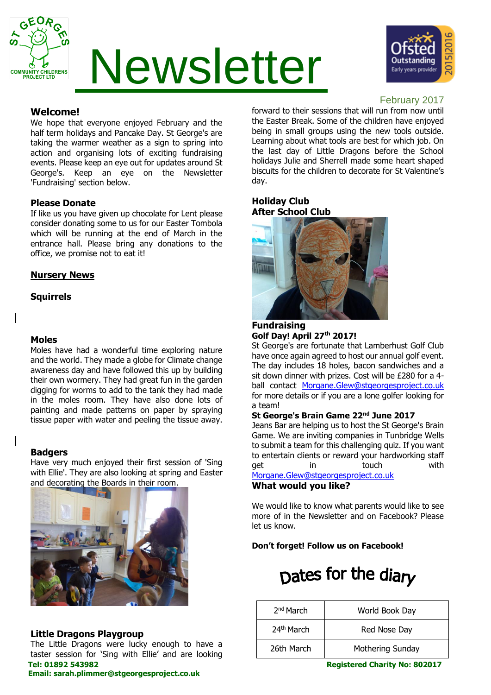

# Newsletter



# **Welcome!**

We hope that everyone enjoyed February and the half term holidays and Pancake Day. St George's are taking the warmer weather as a sign to spring into action and organising lots of exciting fundraising events. Please keep an eye out for updates around St George's. Keep an eye on the Newsletter 'Fundraising' section below.

# **Please Donate**

If like us you have given up chocolate for Lent please consider donating some to us for our Easter Tombola which will be running at the end of March in the entrance hall. Please bring any donations to the office, we promise not to eat it!

# **Nursery News**

# **Squirrels**

# **Moles**

Moles have had a wonderful time exploring nature and the world. They made a globe for Climate change awareness day and have followed this up by building their own wormery. They had great fun in the garden digging for worms to add to the tank they had made in the moles room. They have also done lots of painting and made patterns on paper by spraying tissue paper with water and peeling the tissue away.

### **Badgers**

Have very much enjoyed their first session of 'Sing with Ellie'. They are also looking at spring and Easter and decorating the Boards in their room.



# **Little Dragons Playgroup**

The Little Dragons were lucky enough to have a taster session for 'Sing with Ellie' and are looking

# **Email: sarah.plimmer@stgeorgesproject.co.uk**

# February 2017

forward to their sessions that will run from now until the Easter Break. Some of the children have enjoyed being in small groups using the new tools outside. Learning about what tools are best for which job. On the last day of Little Dragons before the School holidays Julie and Sherrell made some heart shaped biscuits for the children to decorate for St Valentine's day.

# **Holiday Club After School Club**



#### **Fundraising Golf Day! April 27th 2017!**

St George's are fortunate that Lamberhust Golf Club have once again agreed to host our annual golf event. The day includes 18 holes, bacon sandwiches and a sit down dinner with prizes. Cost will be £280 for a 4 ball contact [Morgane.Glew@stgeorgesproject.co.uk](mailto:Morgane.Glew@stgeorgesproject.co.uk) for more details or if you are a lone golfer looking for a team!

# **St George's Brain Game 22nd June 2017**

Jeans Bar are helping us to host the St George's Brain Game. We are inviting companies in Tunbridge Wells to submit a team for this challenging quiz. If you want to entertain clients or reward your hardworking staff get in touch with [Morgane.Glew@stgeorgesproject.co.uk](mailto:Morgane.Glew@stgeorgesproject.co.uk)

#### **What would you like?**

We would like to know what parents would like to see more of in the Newsletter and on Facebook? Please let us know.

**Don't forget! Follow us on Facebook!**

# Dates for the diary

| 2 <sup>nd</sup> March  | World Book Day   |
|------------------------|------------------|
| 24 <sup>th</sup> March | Red Nose Day     |
| 26th March             | Mothering Sunday |

**Tel: 01892 543982 Registered Charity No: 802017**